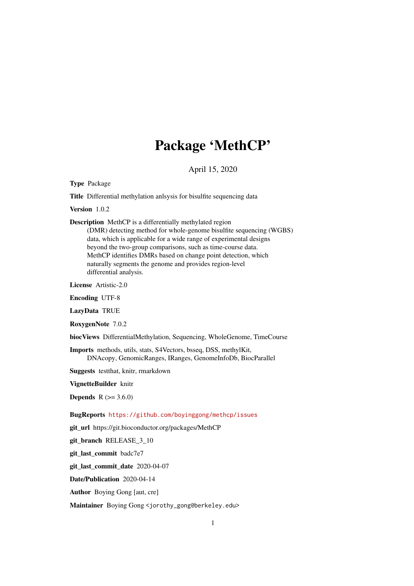## Package 'MethCP'

April 15, 2020

Type Package

Title Differential methylation anlsysis for bisulfite sequencing data

Version 1.0.2

Description MethCP is a differentially methylated region

(DMR) detecting method for whole-genome bisulfite sequencing (WGBS) data, which is applicable for a wide range of experimental designs beyond the two-group comparisons, such as time-course data. MethCP identifies DMRs based on change point detection, which naturally segments the genome and provides region-level differential analysis.

License Artistic-2.0

Encoding UTF-8

LazyData TRUE

RoxygenNote 7.0.2

biocViews DifferentialMethylation, Sequencing, WholeGenome, TimeCourse

Imports methods, utils, stats, S4Vectors, bsseq, DSS, methylKit, DNAcopy, GenomicRanges, IRanges, GenomeInfoDb, BiocParallel

Suggests testthat, knitr, rmarkdown

VignetteBuilder knitr

**Depends**  $R (= 3.6.0)$ 

BugReports <https://github.com/boyinggong/methcp/issues>

git\_url https://git.bioconductor.org/packages/MethCP

git\_branch RELEASE\_3\_10

git last commit badc7e7

git\_last\_commit\_date 2020-04-07

Date/Publication 2020-04-14

Author Boying Gong [aut, cre]

Maintainer Boying Gong <jorothy\_gong@berkeley.edu>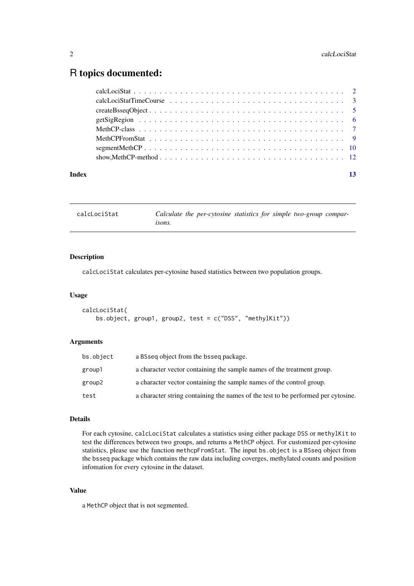## <span id="page-1-0"></span>R topics documented:

| Index | 13 |
|-------|----|

| calcLociStat | Calculate the per-cytosine statistics for simple two-group compar- |
|--------------|--------------------------------------------------------------------|
|              | isons.                                                             |

#### Description

calcLociStat calculates per-cytosine based statistics between two population groups.

#### Usage

```
calcLociStat(
   bs.object, group1, group2, test = c("DSS", "methylKit"))
```
#### Arguments

| bs.object | a BSseq object from the bsseq package.                                            |
|-----------|-----------------------------------------------------------------------------------|
| group1    | a character vector containing the sample names of the treatment group.            |
| group2    | a character vector containing the sample names of the control group.              |
| test      | a character string containing the names of the test to be performed per cytosine. |

#### Details

For each cytosine, calcLociStat calculates a statistics using either package DSS or methylKit to test the differences between two groups, and returns a MethCP object. For customized per-cytosine statistics, please use the function methcpFromStat. The input bs.object is a BSseq object from the bsseq package which contains the raw data including coverges, methylated counts and position infomation for every cytosine in the dataset.

#### Value

a MethCP object that is not segmented.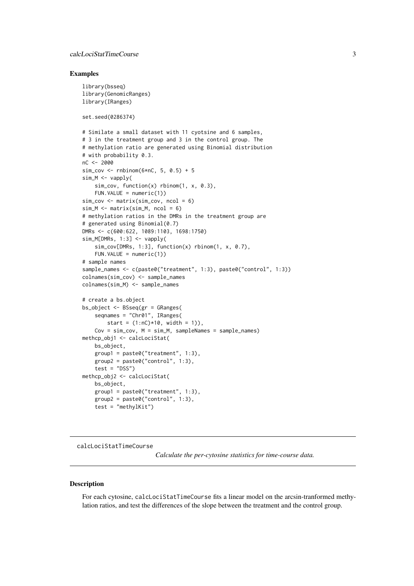#### <span id="page-2-0"></span>calcLociStatTimeCourse 3

#### Examples

```
library(bsseq)
library(GenomicRanges)
library(IRanges)
set.seed(0286374)
# Similate a small dataset with 11 cyotsine and 6 samples,
# 3 in the treatment group and 3 in the control group. The
# methylation ratio are generated using Binomial distribution
# with probability 0.3.
nC <- 2000
sim\_cov \le -rnbinom(6*nC, 5, 0.5) + 5sim_M <- vapply(
    sim\_cov, function(x) rbinom(1, x, 0.3),
    FUN.VALUE = numeric(1)sim_cov <- matrix(sim_cov, ncol = 6)
sim\_M \leftarrow matrix(sim\_M, ncol = 6)# methylation ratios in the DMRs in the treatment group are
# generated using Binomial(0.7)
DMRs <- c(600:622, 1089:1103, 1698:1750)
sim_M[DMRs, 1:3] <- vapply(
    sim_cov[DMRs, 1:3], function(x) rbinom(1, x, 0.7),
    FUN.VALUE = numeric(1)# sample names
sample_names <- c(paste0("treatment", 1:3), paste0("control", 1:3))
colnames(sim_cov) <- sample_names
colnames(sim_M) <- sample_names
# create a bs.object
bs_object <- BSseq(gr = GRanges(
    seqnames = "Chr01", IRanges(
       start = (1: nC)*10, width = 1)),
    Cov = sim\_cov, M = sim\_M, sampleNames = sample_names)
methcp_obj1 <- calcLociStat(
    bs_object,
    group1 = paste0("treatment", 1:3),group2 = paste0("control", 1:3),test = "DSS")
methcp_obj2 <- calcLociStat(
   bs_object,
    group1 = paste0("treatment", 1:3),group2 = paste0("control", 1:3),test = "methylKit")
```
calcLociStatTimeCourse

*Calculate the per-cytosine statistics for time-course data.*

#### Description

For each cytosine, calcLociStatTimeCourse fits a linear model on the arcsin-tranformed methylation ratios, and test the differences of the slope between the treatment and the control group.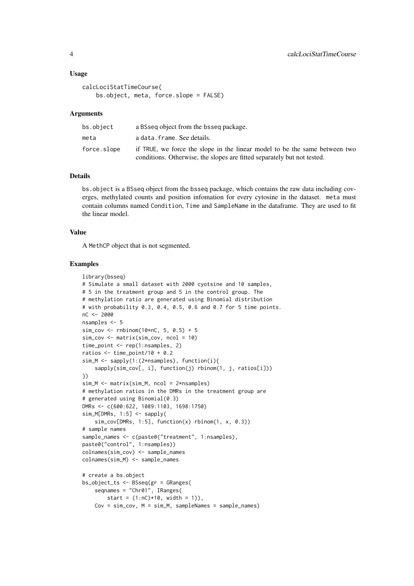#### Usage

```
calcLociStatTimeCourse(
   bs.object, meta, force.slope = FALSE)
```
#### Arguments

| bs.object   | a BSseq object from the bsseq package.                                                                                                                |
|-------------|-------------------------------------------------------------------------------------------------------------------------------------------------------|
| meta        | a data.frame. See details.                                                                                                                            |
| force.slope | if TRUE, we force the slope in the linear model to be the same between two<br>conditions. Otherwise, the slopes are fitted separately but not tested. |

#### Details

bs.object is a BSseq object from the bsseq package, which contains the raw data including coverges, methylated counts and position infomation for every cytosine in the dataset. meta must contain columns named Condition, Time and SampleName in the dataframe. They are used to fit the linear model.

#### Value

A MethCP object that is not segmented.

```
library(bsseq)
# Simulate a small dataset with 2000 cyotsine and 10 samples,
# 5 in the treatment group and 5 in the control group. The
# methylation ratio are generated using Binomial distribution
# with probability 0.3, 0.4, 0.5, 0.6 and 0.7 for 5 time points.
nC <- 2000
nsamples <- 5
sim\_cov \le -rnbinom(10*nC, 5, 0.5) + 5sim_cov <- matrix(sim_cov, ncol = 10)
time_point <- rep(1:nsamples, 2)
ratios <- time_point/10 + 0.2
sim_M <- sapply(1:(2*nsamples), function(i){
    sapply(sim_cov[, i], function(j) rbinom(1, j, ratios[i]))
})
sim_M <- matrix(sim_M, ncol = 2*nsamples)
# methylation ratios in the DMRs in the treatment group are
# generated using Binomial(0.3)
DMRs <- c(600:622, 1089:1103, 1698:1750)
sim_M[DMRs, 1:5] <- sapply(
    sim\_cov[DMRs, 1:5], function(x) rbinom(1, x, 0.3))
# sample names
sample_names <- c(paste0("treatment", 1:nsamples),
paste0("control", 1:nsamples))
colnames(sim_cov) <- sample_names
colnames(sim_M) <- sample_names
# create a bs.object
bs_object_ts <- BSseq(gr = GRanges(
    seqnames = "Chr01", IRanges(
       start = (1:nC)*10, width = 1)),
    Cov = sim\_cov, M = sim\_M, sampleNames = sample_names)
```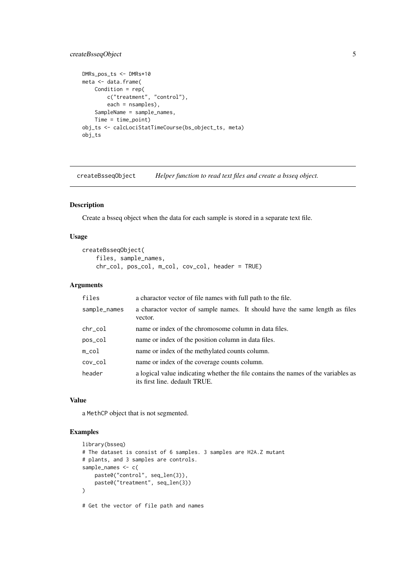#### <span id="page-4-0"></span>createBsseqObject 5

```
DMRs_pos_ts <- DMRs*10
meta <- data.frame(
   Condition = rep(
       c("treatment", "control"),
       each = nsamples),
    SampleName = sample_names,
    Time = time_point)
obj_ts <- calcLociStatTimeCourse(bs_object_ts, meta)
obj_ts
```
createBsseqObject *Helper function to read text files and create a bsseq object.*

#### Description

Create a bsseq object when the data for each sample is stored in a separate text file.

#### Usage

```
createBsseqObject(
   files, sample_names,
   chr_col, pos_col, m_col, cov_col, header = TRUE)
```
#### Arguments

| files            | a charactor vector of file names with full path to the file.                                                        |
|------------------|---------------------------------------------------------------------------------------------------------------------|
| sample_names     | a charactor vector of sample names. It should have the same length as files<br>vector.                              |
| $chr_{col}$      | name or index of the chromosome column in data files.                                                               |
| pos_col          | name or index of the position column in data files.                                                                 |
| $m_{\text{col}}$ | name or index of the methylated counts column.                                                                      |
| $cov_{c}$ col    | name or index of the coverage counts column.                                                                        |
| header           | a logical value indicating whether the file contains the names of the variables as<br>its first line. dedault TRUE. |

#### Value

a MethCP object that is not segmented.

#### Examples

```
library(bsseq)
# The dataset is consist of 6 samples. 3 samples are H2A.Z mutant
# plants, and 3 samples are controls.
sample_names <- c(
   paste0("control", seq_len(3)),
    paste0("treatment", seq_len(3))
\lambda
```
# Get the vector of file path and names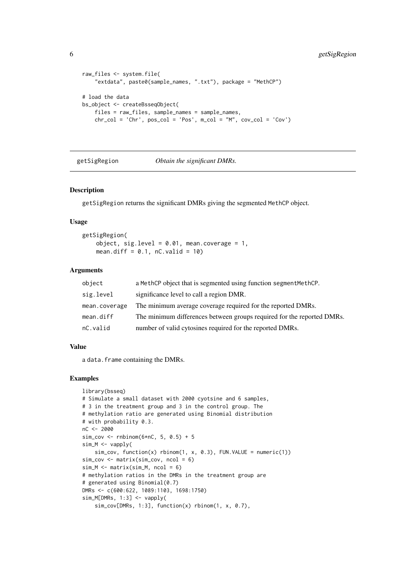```
raw_files <- system.file(
    "extdata", paste0(sample_names, ".txt"), package = "MethCP")
# load the data
bs_object <- createBsseqObject(
    files = raw_files, sample_names = sample_names,
    chr\_col = 'Chr', pos\_col = 'Pos', m\_col = "M", cov\_col = 'Cov')
```
getSigRegion *Obtain the significant DMRs.*

#### Description

getSigRegion returns the significant DMRs giving the segmented MethCP object.

#### Usage

getSigRegion( object, sig.level =  $0.01$ , mean.coverage = 1, mean.diff =  $0.1$ , nC.valid =  $10$ )

#### Arguments

| object        | a MethCP object that is segmented using function segmentMethCP.        |
|---------------|------------------------------------------------------------------------|
| sig.level     | significance level to call a region DMR.                               |
| mean.coverage | The minimum average coverage required for the reported DMRs.           |
| mean.diff     | The minimum differences between groups required for the reported DMRs. |
| nC.valid      | number of valid cytosines required for the reported DMRs.              |

#### Value

a data.frame containing the DMRs.

```
library(bsseq)
# Simulate a small dataset with 2000 cyotsine and 6 samples,
# 3 in the treatment group and 3 in the control group. The
# methylation ratio are generated using Binomial distribution
# with probability 0.3.
nC <- 2000
sim\_cov \leftarrow rnbinom(6*nC, 5, 0.5) + 5sim_M <- vapply(
    sim\_cov, function(x) rbinom(1, x, 0.3), FUN.VALUE = numeric(1))
sim_cov <- matrix(sim_cov, ncol = 6)
sim_M < - matrix(sim_M, ncol = 6)
# methylation ratios in the DMRs in the treatment group are
# generated using Binomial(0.7)
DMRs <- c(600:622, 1089:1103, 1698:1750)
sim_M[DMRs, 1:3] <- vapply(
    sim_cov[DMRs, 1:3], function(x) rbinom(1, x, 0.7),
```
<span id="page-5-0"></span>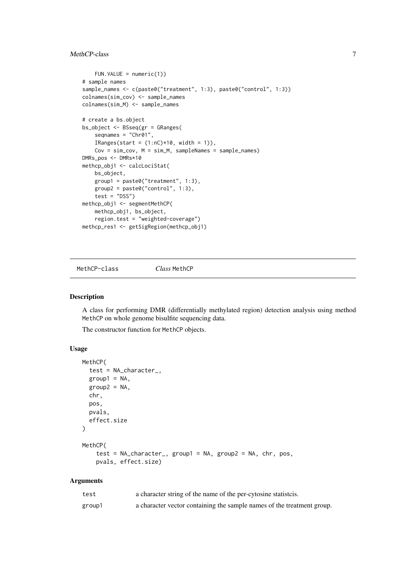#### <span id="page-6-0"></span>MethCP-class 7

```
FUN.VALUE = numeric(1)# sample names
sample_names <- c(paste0("treatment", 1:3), paste0("control", 1:3))
colnames(sim_cov) <- sample_names
colnames(sim_M) <- sample_names
# create a bs.object
bs_object <- BSseq(gr = GRanges(
    seqnames = "Chr01",
    IRanges(start = (1:nC)*10, width = 1)).
    Cov = sim\_cov, M = sim\_M, sampleNames = sample_names)
DMRs_pos <- DMRs*10
methcp_obj1 <- calcLociStat(
   bs_object,
   group1 = paste0("treatment", 1:3),group2 = paste0("control", 1:3),test = "DSS")
methcp_obj1 <- segmentMethCP(
   methcp_obj1, bs_object,
   region.test = "weighted-coverage")
methcp_res1 <- getSigRegion(methcp_obj1)
```
MethCP-class *Class* MethCP

#### Description

A class for performing DMR (differentially methylated region) detection analysis using method MethCP on whole genome bisulfite sequencing data.

The constructor function for MethCP objects.

#### Usage

```
MethCP(
  test = NA_character_,
  group1 = NA,
  group2 = NA,
  chr,
  pos,
  pvals,
  effect.size
)
MethCP(
    test = NA_character_, group1 = NA, group2 = NA, chr, pos,
    pvals, effect.size)
```
#### Arguments

| test   | a character string of the name of the per-cytosine statistics.         |
|--------|------------------------------------------------------------------------|
| group1 | a character vector containing the sample names of the treatment group. |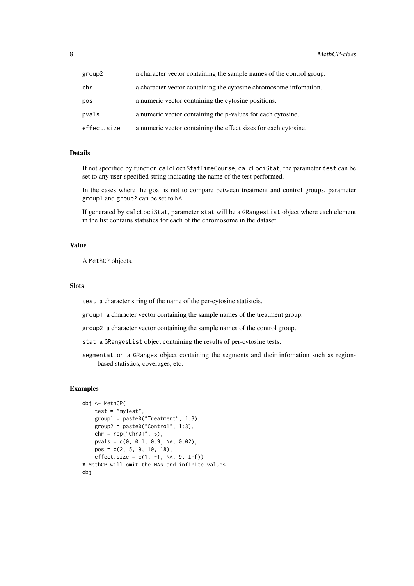| group2      | a character vector containing the sample names of the control group. |
|-------------|----------------------------------------------------------------------|
| chr         | a character vector containing the cytosine chromosome information.   |
| pos         | a numeric vector containing the cytosine positions.                  |
| pvals       | a numeric vector containing the p-values for each cytosine.          |
| effect.size | a numeric vector containing the effect sizes for each cytosine.      |

#### Details

If not specified by function calcLociStatTimeCourse, calcLociStat, the parameter test can be set to any user-specified string indicating the name of the test performed.

In the cases where the goal is not to compare between treatment and control groups, parameter group1 and group2 can be set to NA.

If generated by calcLociStat, parameter stat will be a GRangesList object where each element in the list contains statistics for each of the chromosome in the dataset.

#### Value

A MethCP objects.

#### Slots

test a character string of the name of the per-cytosine statistcis.

group1 a character vector containing the sample names of the treatment group.

group2 a character vector containing the sample names of the control group.

stat a GRangesList object containing the results of per-cytosine tests.

segmentation a GRanges object containing the segments and their infomation such as regionbased statistics, coverages, etc.

```
obj <- MethCP(
   test = "myTest",
    group1 = paste0("Treatment", 1:3),
    group2 = paste0("Control", 1:3),chr = rep("Chr01", 5),
    pvals = c(0, 0.1, 0.9, NA, 0.02),
    pos = c(2, 5, 9, 10, 18),effect.size = c(1, -1, NA, 9, Inf)# MethCP will omit the NAs and infinite values.
obj
```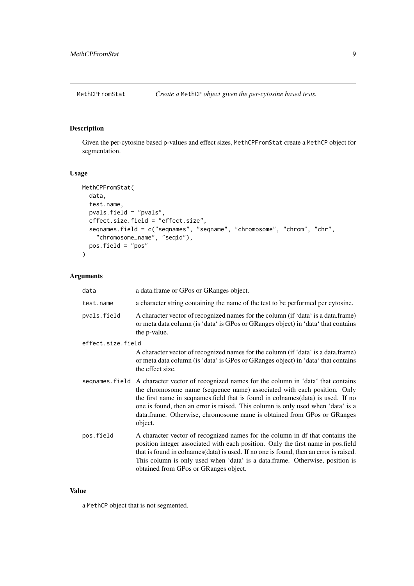<span id="page-8-0"></span>

#### Description

Given the per-cytosine based p-values and effect sizes, MethCPFromStat create a MethCP object for segmentation.

#### Usage

```
MethCPFromStat(
 data,
  test.name,
  pvals.field = "pvals",
  effect.size.field = "effect.size",
  seqnames.field = c("seqnames", "seqname", "chromosome", "chrom", "chr",
    "chromosome_name", "seqid"),
 pos.field = "pos"
)
```
#### Arguments

| data              | a data.frame or GPos or GRanges object.                                                                                                                                                                                                                                                                                                                                                                                               |
|-------------------|---------------------------------------------------------------------------------------------------------------------------------------------------------------------------------------------------------------------------------------------------------------------------------------------------------------------------------------------------------------------------------------------------------------------------------------|
| test.name         | a character string containing the name of the test to be performed per cytosine.                                                                                                                                                                                                                                                                                                                                                      |
| pvals.field       | A character vector of recognized names for the column (if 'data' is a data.frame)<br>or meta data column (is 'data' is GPos or GRanges object) in 'data' that contains<br>the p-value.                                                                                                                                                                                                                                                |
| effect.size.field |                                                                                                                                                                                                                                                                                                                                                                                                                                       |
|                   | A character vector of recognized names for the column (if 'data' is a data.frame)<br>or meta data column (is 'data' is GPos or GRanges object) in 'data' that contains<br>the effect size.                                                                                                                                                                                                                                            |
|                   | sequames field A character vector of recognized names for the column in 'data' that contains<br>the chromosome name (sequence name) associated with each position. Only<br>the first name in sequames field that is found in colnames (data) is used. If no<br>one is found, then an error is raised. This column is only used when 'data' is a<br>data.frame. Otherwise, chromosome name is obtained from GPos or GRanges<br>object. |
| pos.field         | A character vector of recognized names for the column in df that contains the<br>position integer associated with each position. Only the first name in pos.field<br>that is found in colnames (data) is used. If no one is found, then an error is raised.<br>This column is only used when 'data' is a data.frame. Otherwise, position is<br>obtained from GPos or GRanges object.                                                  |

### Value

a MethCP object that is not segmented.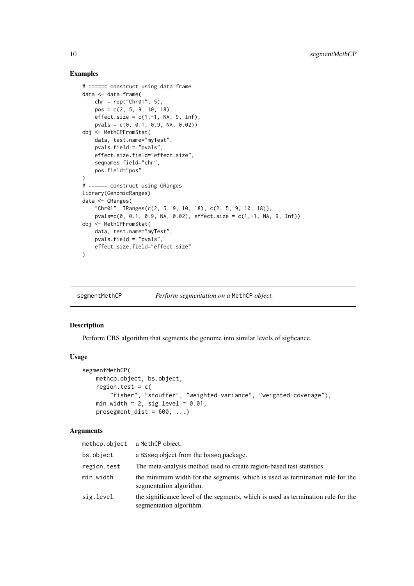#### Examples

```
# ====== construct using data frame
data <- data.frame(
   chr = rep("Chr@1", 5),pos = c(2, 5, 9, 10, 18),
    effect.size = c(1, -1, NA, 9, Inf),pvals = c(0, 0.1, 0.9, NA, 0.02))
obj <- MethCPFromStat(
   data, test.name="myTest",
    pvals.field = "pvals",
    effect.size.field="effect.size",
    seqnames.field="chr",
    pos.field="pos"
\lambda# ====== construct using GRanges
library(GenomicRanges)
data <- GRanges(
    "Chr01", IRanges(c(2, 5, 9, 10, 18), c(2, 5, 9, 10, 18)),
    pvals=c(0, 0.1, 0.9, NA, 0.02), effect.size = c(1,-1, NA, 9, Inf))
obj <- MethCPFromStat(
    data, test.name="myTest",
    pvals.field = "pvals",
    effect.size.field="effect.size"
\lambda
```
segmentMethCP *Perform segmentation on a* MethCP *object.*

#### Description

Perform CBS algorithm that segments the genome into similar levels of sigficance.

#### Usage

```
segmentMethCP(
   methcp.object, bs.object,
   region.test = c("fisher", "stouffer", "weighted-variance", "weighted-coverage"),
   min.width = 2, sig.level = 0.01,
   presement\_dist = 600, ...)
```
#### Arguments

| methcp.object | a MethCP object.                                                                                             |
|---------------|--------------------------------------------------------------------------------------------------------------|
| bs.object     | a BSseq object from the bsseq package.                                                                       |
| region.test   | The meta-analysis method used to create region-based test statistics.                                        |
| min.width     | the minimum width for the segments, which is used as termination rule for the<br>segmentation algorithm.     |
| sig.level     | the significance level of the segments, which is used as termination rule for the<br>segmentation algorithm. |

<span id="page-9-0"></span>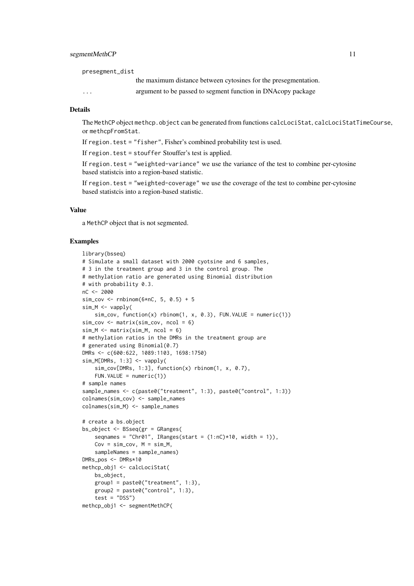#### segmentMethCP 11

presegment\_dist

the maximum distance between cytosines for the presegmentation.

... argument to be passed to segment function in DNAcopy package

#### Details

The MethCP object methcp.object can be generated from functions calcLociStat, calcLociStatTimeCourse, or methcpFromStat.

If region.test = "fisher", Fisher's combined probability test is used.

If region.test = stouffer Stouffer's test is applied.

If region.test = "weighted-variance" we use the variance of the test to combine per-cytosine based statistcis into a region-based statistic.

If region.test = "weighted-coverage" we use the coverage of the test to combine per-cytosine based statistcis into a region-based statistic.

#### Value

a MethCP object that is not segmented.

```
library(bsseq)
# Simulate a small dataset with 2000 cyotsine and 6 samples,
# 3 in the treatment group and 3 in the control group. The
# methylation ratio are generated using Binomial distribution
# with probability 0.3.
nC <- 2000
sim\_cov \leftarrow rnbinom(6*nC, 5, 0.5) + 5sim_M <- vapply(
   sim\_cov, function(x) rbinom(1, x, 0.3), FUN.VALUE = numeric(1))
sim\_cov \le matrix(sim_cov, ncol = 6)
sim_M < - matrix(sim_M, ncol = 6)
# methylation ratios in the DMRs in the treatment group are
# generated using Binomial(0.7)
DMRs <- c(600:622, 1089:1103, 1698:1750)
sim_M[DMRs, 1:3] <- vapply(
    sim_cov[DMRs, 1:3], function(x) rbinom(1, x, 0.7),
    FUN.VALUE = numeric(1))
# sample names
sample_names <- c(paste0("treatment", 1:3), paste0("control", 1:3))
colnames(sim_cov) <- sample_names
colnames(sim_M) <- sample_names
# create a bs.object
bs_object <- BSseq(gr = GRanges(
    seqnames = "Chr01", IRanges(start = (1:nC)*10, width = 1)),
    Cov = sim\_cov, M = sim_M,sampleNames = sample_names)
DMRs_pos <- DMRs*10
methcp_obj1 <- calcLociStat(
   bs_object,
    group1 = paste0("treatment", 1:3),
    group2 = paste0("control", 1:3),test = "DSS")
methcp_obj1 <- segmentMethCP(
```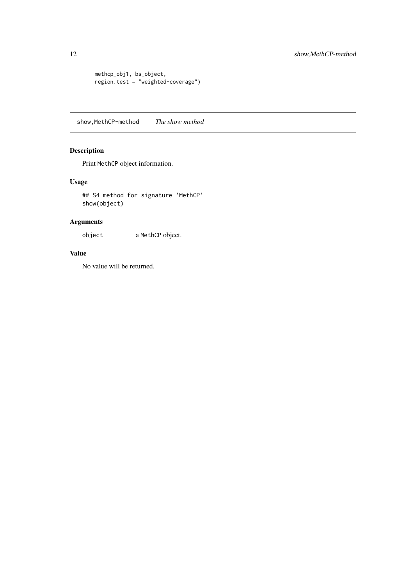```
methcp_obj1, bs_object,
region.test = "weighted-coverage")
```
show,MethCP-method *The show method*

#### Description

Print MethCP object information.

#### Usage

## S4 method for signature 'MethCP' show(object)

#### Arguments

object a MethCP object.

#### Value

No value will be returned.

<span id="page-11-0"></span>